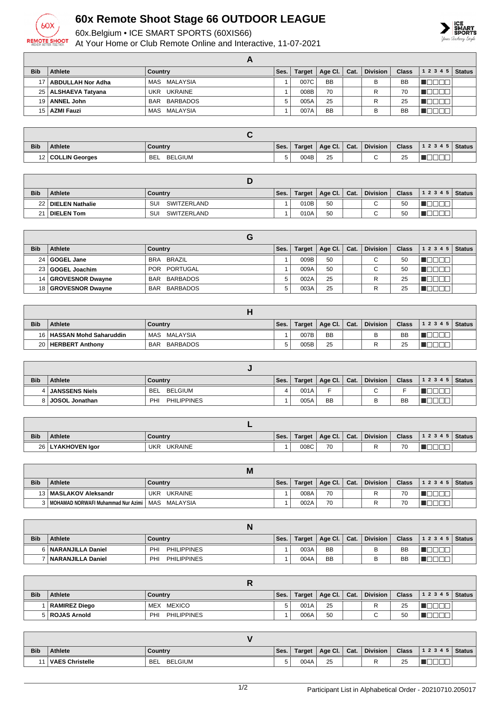

## **60x Remote Shoot Stage 66 OUTDOOR LEAGUE**

60x.Belgium • ICE SMART SPORTS (60XIS66)

At Your Home or Club Remote Online and Interactive, 11-07-2021



| <b>Bib</b>      | Athlete               | Country                | Ses. | <b>Target</b> | Age Cl. $ $ | Cat. | <b>Division</b> | <b>Class</b> | 1 2 3 4 5 | <b>Status</b> |
|-----------------|-----------------------|------------------------|------|---------------|-------------|------|-----------------|--------------|-----------|---------------|
| 17 <sup>1</sup> | ABDULLAH Nor Adha     | MAS MALAYSIA           |      | 007C          | <b>BB</b>   |      |                 | <b>BB</b>    |           |               |
|                 | 25   ALSHAEVA Tatyana | <b>UKRAINE</b><br>UKR  |      | 008B          | 70          |      |                 | 70           |           |               |
|                 | 19   ANNEL John       | BARBADOS<br><b>BAR</b> | 5    | 005A          | 25          |      |                 | 25           |           |               |
|                 | 15   AZMI Fauzi       | MAS MALAYSIA           |      | 007A          | <b>BB</b>   |      | B               | <b>BB</b>    |           |               |

| <b>Bib</b> | <b>Athlete</b>      | Country                      | Ses. | Target | Age Cl. | Cat. | <b>Division</b> | <b>Class</b>    | 12345     | Status |
|------------|---------------------|------------------------------|------|--------|---------|------|-----------------|-----------------|-----------|--------|
|            | 12   COLLIN Georges | <b>BELGIUM</b><br><b>BEL</b> |      | 004B   | 25      |      |                 | <b>OF</b><br>ںے | ____<br>一 |        |

| <b>Bib</b> | Athlete              | Country           | Ses. | Target | Age Cl. | Cat. | <b>Division</b> | <b>Class</b> | 1 2 3 4 5   Status |  |
|------------|----------------------|-------------------|------|--------|---------|------|-----------------|--------------|--------------------|--|
|            | 22   DIELEN Nathalie | SU<br>SWITZERLAND |      | 010B   | 50      |      | $\sim$          | 50           |                    |  |
| $\Omega$   | <b>DIELEN Tom</b>    | SU<br>SWITZERLAND |      | 010A   | 50      |      | ⌒               | 50           |                    |  |

| <b>Bib</b>      | Athlete               | Country                | Ses. | <b>Target</b> | Age Cl.   Cat. | Division    | <b>Class</b> | 12345   | <b>Status</b> |
|-----------------|-----------------------|------------------------|------|---------------|----------------|-------------|--------------|---------|---------------|
| 24 <sub>1</sub> | GOGEL Jane            | BRA BRAZIL             |      | 009B          | 50             | $\sim$      | 50           |         |               |
|                 | 23 GOGEL Joachim      | POR PORTUGAL           |      | 009A          | 50             | $\sim$<br>◡ | 50           |         |               |
| 14 I            | GROVESNOR Dwayne      | BAR BARBADOS           | 5    | 002A          | 25             | R           | 25           | الالالا |               |
|                 | 18   GROVESNOR Dwayne | BARBADOS<br><b>BAR</b> | 5    | 003A          | 25             | R           | 25           |         |               |

| <b>Bib</b>      | <b>Athlete</b>              | Country                       | Ses.   | <b>Target</b> | Age Cl. $\vert$ Cat. | <b>Division</b> | <b>Class</b> | $12345$ Status |  |
|-----------------|-----------------------------|-------------------------------|--------|---------------|----------------------|-----------------|--------------|----------------|--|
|                 | 16   HASSAN Mohd Saharuddin | MAS MALAYSIA                  |        | 007B          | <b>BB</b>            | в               | <b>BB</b>    |                |  |
| 20 <sub>1</sub> | <b>HERBERT Anthony</b>      | <b>BARBADOS</b><br><b>BAR</b> | $\sim$ | 005B          | 25                   |                 | 25           |                |  |

| <b>Bib</b> | Athlete               | Country                   | Ses. | <b>Target</b> | Age Cl.   | Cat. | <b>Division</b> | <b>Class</b> | $12345$ Status |  |
|------------|-----------------------|---------------------------|------|---------------|-----------|------|-----------------|--------------|----------------|--|
|            | <b>JANSSENS Niels</b> | BELGIUM<br><b>BEL</b>     | 4    | 001A          |           |      |                 |              |                |  |
| 8 I        | JOSOL Jonathan        | <b>PHILIPPINES</b><br>PHI |      | 005A          | <b>BB</b> |      |                 | <b>BB</b>    |                |  |

| <b>Bib</b> | Athlete             | Country                      | Ses. | Target | Age Cl. | Cat. | <b>Division</b> | <b>Class</b>   | 1 2 3 4 5 | Status |
|------------|---------------------|------------------------------|------|--------|---------|------|-----------------|----------------|-----------|--------|
|            | 26   LYAKHOVEN Igor | <b>UKR</b><br><b>UKRAINE</b> |      | 008C   | 70      |      |                 | 70<br><b>U</b> |           |        |

|            |                                                       | M           |      |        |                              |                 |              |                |  |
|------------|-------------------------------------------------------|-------------|------|--------|------------------------------|-----------------|--------------|----------------|--|
| <b>Bib</b> | Athlete                                               | Country     | Ses. | Target | $\vert$ Age Cl. $\vert$ Cat. | <b>Division</b> | <b>Class</b> | $12345$ Status |  |
|            | 13   MASLAKOV Aleksandr                               | UKR UKRAINE |      | 008A   | 70                           |                 | 70           |                |  |
|            | 3   MOHAMAD NORWAFI Muhammad Nur Azimi   MAS MALAYSIA |             |      | 002A   | 70                           |                 | 70           |                |  |

|            |                          | N                                |      |        |           |      |                 |              |                    |  |
|------------|--------------------------|----------------------------------|------|--------|-----------|------|-----------------|--------------|--------------------|--|
| <b>Bib</b> | <b>Athlete</b>           | Country                          | Ses. | Target | Age Cl.   | Cat. | <b>Division</b> | <b>Class</b> | 1 2 3 4 5   Status |  |
|            | 6   NARANJILLA Daniel    | <b>PHILIPPINES</b><br><b>PHI</b> |      | 003A   | <b>BB</b> |      |                 | BB           |                    |  |
|            | <b>NARANJILLA Daniel</b> | PHI<br><b>PHILIPPINES</b>        |      | 004A   | <b>BB</b> |      |                 | BB           |                    |  |

| <b>Bib</b> | <b>Athlete</b>       | Country                          | Ses. | Target | Age Cl. $ $ | Cat. | Division | <b>Class</b> | 1 2 3 4 5   Status |  |
|------------|----------------------|----------------------------------|------|--------|-------------|------|----------|--------------|--------------------|--|
|            | <b>RAMIREZ Diego</b> | <b>MEXICO</b><br>MEX             |      | 001A   | 25          |      |          | 25           |                    |  |
|            | 5   ROJAS Arnold     | <b>PHILIPPINES</b><br><b>PHI</b> |      | 006A   | 50          |      |          | 50           |                    |  |

| <b>Bib</b> | <b>Athlete</b>         | Country                      | Ses. | Target | Age Cl. | Cat. | <b>Division</b> | <b>Class</b> | 1 2 3 4 5   Status |  |
|------------|------------------------|------------------------------|------|--------|---------|------|-----------------|--------------|--------------------|--|
|            | <b>VAES Christelle</b> | <b>BELGIUM</b><br><b>BEL</b> | ∽    | 004A   | 25      |      |                 | 25           |                    |  |